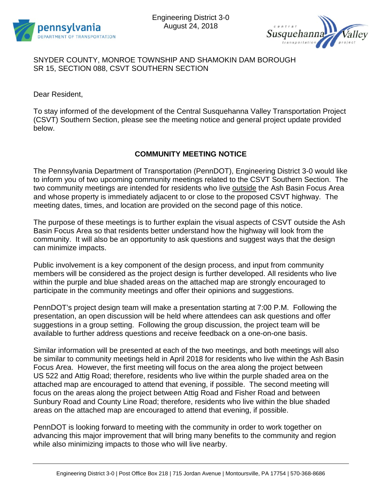



## SNYDER COUNTY, MONROE TOWNSHIP AND SHAMOKIN DAM BOROUGH SR 15, SECTION 088, CSVT SOUTHERN SECTION

Dear Resident,

To stay informed of the development of the Central Susquehanna Valley Transportation Project (CSVT) Southern Section, please see the meeting notice and general project update provided below.

## **COMMUNITY MEETING NOTICE**

The Pennsylvania Department of Transportation (PennDOT), Engineering District 3-0 would like to inform you of two upcoming community meetings related to the CSVT Southern Section. The two community meetings are intended for residents who live outside the Ash Basin Focus Area and whose property is immediately adjacent to or close to the proposed CSVT highway. The meeting dates, times, and location are provided on the second page of this notice.

The purpose of these meetings is to further explain the visual aspects of CSVT outside the Ash Basin Focus Area so that residents better understand how the highway will look from the community. It will also be an opportunity to ask questions and suggest ways that the design can minimize impacts.

Public involvement is a key component of the design process, and input from community members will be considered as the project design is further developed. All residents who live within the purple and blue shaded areas on the attached map are strongly encouraged to participate in the community meetings and offer their opinions and suggestions.

PennDOT's project design team will make a presentation starting at 7:00 P.M. Following the presentation, an open discussion will be held where attendees can ask questions and offer suggestions in a group setting. Following the group discussion, the project team will be available to further address questions and receive feedback on a one-on-one basis.

Similar information will be presented at each of the two meetings, and both meetings will also be similar to community meetings held in April 2018 for residents who live within the Ash Basin Focus Area. However, the first meeting will focus on the area along the project between US 522 and Attig Road; therefore, residents who live within the purple shaded area on the attached map are encouraged to attend that evening, if possible. The second meeting will focus on the areas along the project between Attig Road and Fisher Road and between Sunbury Road and County Line Road; therefore, residents who live within the blue shaded areas on the attached map are encouraged to attend that evening, if possible.

PennDOT is looking forward to meeting with the community in order to work together on advancing this major improvement that will bring many benefits to the community and region while also minimizing impacts to those who will live nearby.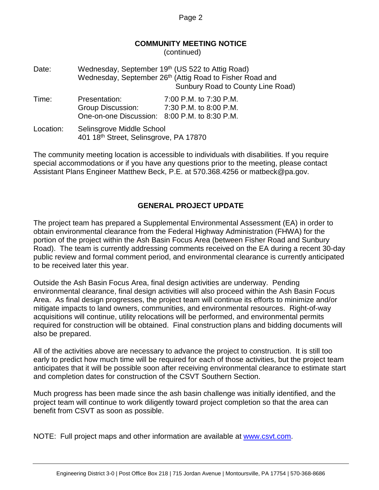Page 2

## **COMMUNITY MEETING NOTICE**

(continued)

| Date:     | Wednesday, September 19th (US 522 to Attig Road)<br>Wednesday, September 26th (Attig Road to Fisher Road and<br>Sunbury Road to County Line Road) |                                                  |
|-----------|---------------------------------------------------------------------------------------------------------------------------------------------------|--------------------------------------------------|
| Time:     | Presentation:<br>Group Discussion:<br>One-on-one Discussion: 8:00 P.M. to 8:30 P.M.                                                               | 7:00 P.M. to 7:30 P.M.<br>7:30 P.M. to 8:00 P.M. |
| Location: | Selinsgrove Middle School<br>401 18th Street, Selinsgrove, PA 17870                                                                               |                                                  |

The community meeting location is accessible to individuals with disabilities. If you require special accommodations or if you have any questions prior to the meeting, please contact Assistant Plans Engineer Matthew Beck, P.E. at 570.368.4256 or matbeck@pa.gov.

## **GENERAL PROJECT UPDATE**

The project team has prepared a Supplemental Environmental Assessment (EA) in order to obtain environmental clearance from the Federal Highway Administration (FHWA) for the portion of the project within the Ash Basin Focus Area (between Fisher Road and Sunbury Road). The team is currently addressing comments received on the EA during a recent 30-day public review and formal comment period, and environmental clearance is currently anticipated to be received later this year.

Outside the Ash Basin Focus Area, final design activities are underway. Pending environmental clearance, final design activities will also proceed within the Ash Basin Focus Area. As final design progresses, the project team will continue its efforts to minimize and/or mitigate impacts to land owners, communities, and environmental resources. Right-of-way acquisitions will continue, utility relocations will be performed, and environmental permits required for construction will be obtained. Final construction plans and bidding documents will also be prepared.

All of the activities above are necessary to advance the project to construction. It is still too early to predict how much time will be required for each of those activities, but the project team anticipates that it will be possible soon after receiving environmental clearance to estimate start and completion dates for construction of the CSVT Southern Section.

Much progress has been made since the ash basin challenge was initially identified, and the project team will continue to work diligently toward project completion so that the area can benefit from CSVT as soon as possible.

NOTE: Full project maps and other information are available at [www.csvt.com.](http://www.csvt.com/)